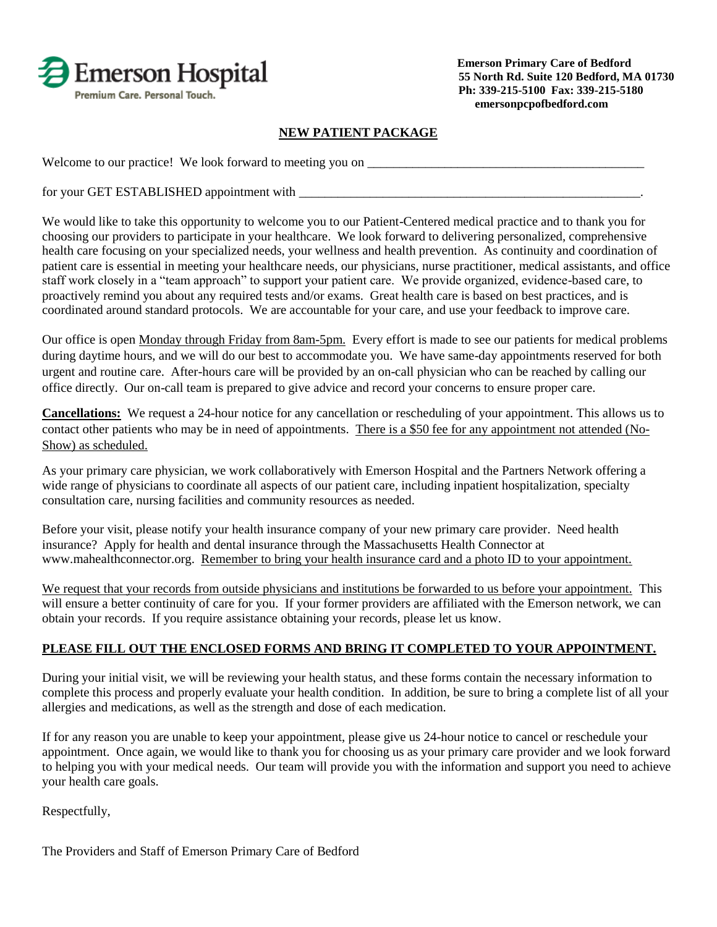

## **NEW PATIENT PACKAGE**

Welcome to our practice! We look forward to meeting you on \_\_\_\_\_\_\_\_\_\_\_\_\_\_\_\_\_\_\_\_\_\_\_\_\_\_\_\_\_\_\_\_\_\_\_\_\_\_\_\_\_\_\_

for your GET ESTABLISHED appointment with

We would like to take this opportunity to welcome you to our Patient-Centered medical practice and to thank you for choosing our providers to participate in your healthcare. We look forward to delivering personalized, comprehensive health care focusing on your specialized needs, your wellness and health prevention. As continuity and coordination of patient care is essential in meeting your healthcare needs, our physicians, nurse practitioner, medical assistants, and office staff work closely in a "team approach" to support your patient care. We provide organized, evidence-based care, to proactively remind you about any required tests and/or exams. Great health care is based on best practices, and is coordinated around standard protocols. We are accountable for your care, and use your feedback to improve care.

Our office is open Monday through Friday from 8am-5pm. Every effort is made to see our patients for medical problems during daytime hours, and we will do our best to accommodate you. We have same-day appointments reserved for both urgent and routine care. After-hours care will be provided by an on-call physician who can be reached by calling our office directly. Our on-call team is prepared to give advice and record your concerns to ensure proper care.

**Cancellations:** We request a 24-hour notice for any cancellation or rescheduling of your appointment. This allows us to contact other patients who may be in need of appointments. There is a \$50 fee for any appointment not attended (No-Show) as scheduled.

As your primary care physician, we work collaboratively with Emerson Hospital and the Partners Network offering a wide range of physicians to coordinate all aspects of our patient care, including inpatient hospitalization, specialty consultation care, nursing facilities and community resources as needed.

Before your visit, please notify your health insurance company of your new primary care provider. Need health insurance? Apply for health and dental insurance through the Massachusetts Health Connector at [www.mahealthconnector.org.](http://www.mahealthconnector.org/) Remember to bring your health insurance card and a photo ID to your appointment.

We request that your records from outside physicians and institutions be forwarded to us before your appointment. This will ensure a better continuity of care for you. If your former providers are affiliated with the Emerson network, we can obtain your records. If you require assistance obtaining your records, please let us know.

## **PLEASE FILL OUT THE ENCLOSED FORMS AND BRING IT COMPLETED TO YOUR APPOINTMENT.**

During your initial visit, we will be reviewing your health status, and these forms contain the necessary information to complete this process and properly evaluate your health condition. In addition, be sure to bring a complete list of all your allergies and medications, as well as the strength and dose of each medication.

If for any reason you are unable to keep your appointment, please give us 24-hour notice to cancel or reschedule your appointment. Once again, we would like to thank you for choosing us as your primary care provider and we look forward to helping you with your medical needs. Our team will provide you with the information and support you need to achieve your health care goals.

Respectfully,

The Providers and Staff of Emerson Primary Care of Bedford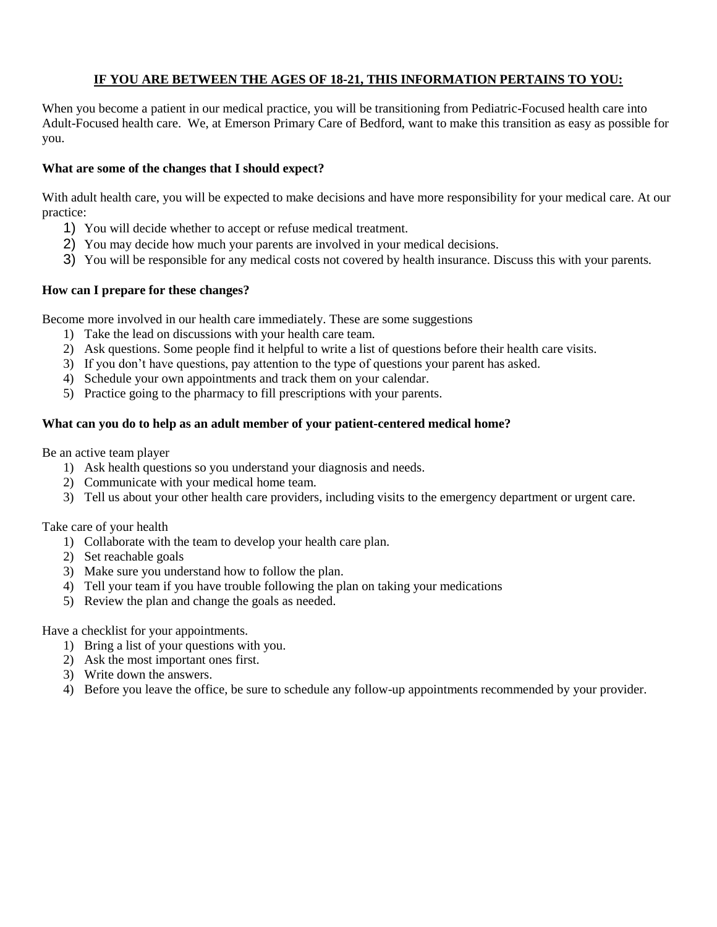### **IF YOU ARE BETWEEN THE AGES OF 18-21, THIS INFORMATION PERTAINS TO YOU:**

When you become a patient in our medical practice, you will be transitioning from Pediatric-Focused health care into Adult-Focused health care. We, at Emerson Primary Care of Bedford, want to make this transition as easy as possible for you.

#### **What are some of the changes that I should expect?**

With adult health care, you will be expected to make decisions and have more responsibility for your medical care. At our practice:

- 1) You will decide whether to accept or refuse medical treatment.
- 2) You may decide how much your parents are involved in your medical decisions.
- 3) You will be responsible for any medical costs not covered by health insurance. Discuss this with your parents.

### **How can I prepare for these changes?**

Become more involved in our health care immediately. These are some suggestions

- 1) Take the lead on discussions with your health care team.
- 2) Ask questions. Some people find it helpful to write a list of questions before their health care visits.
- 3) If you don't have questions, pay attention to the type of questions your parent has asked.
- 4) Schedule your own appointments and track them on your calendar.
- 5) Practice going to the pharmacy to fill prescriptions with your parents.

#### **What can you do to help as an adult member of your patient-centered medical home?**

Be an active team player

- 1) Ask health questions so you understand your diagnosis and needs.
- 2) Communicate with your medical home team.
- 3) Tell us about your other health care providers, including visits to the emergency department or urgent care.

Take care of your health

- 1) Collaborate with the team to develop your health care plan.
- 2) Set reachable goals
- 3) Make sure you understand how to follow the plan.
- 4) Tell your team if you have trouble following the plan on taking your medications
- 5) Review the plan and change the goals as needed.

Have a checklist for your appointments.

- 1) Bring a list of your questions with you.
- 2) Ask the most important ones first.
- 3) Write down the answers.
- 4) Before you leave the office, be sure to schedule any follow-up appointments recommended by your provider.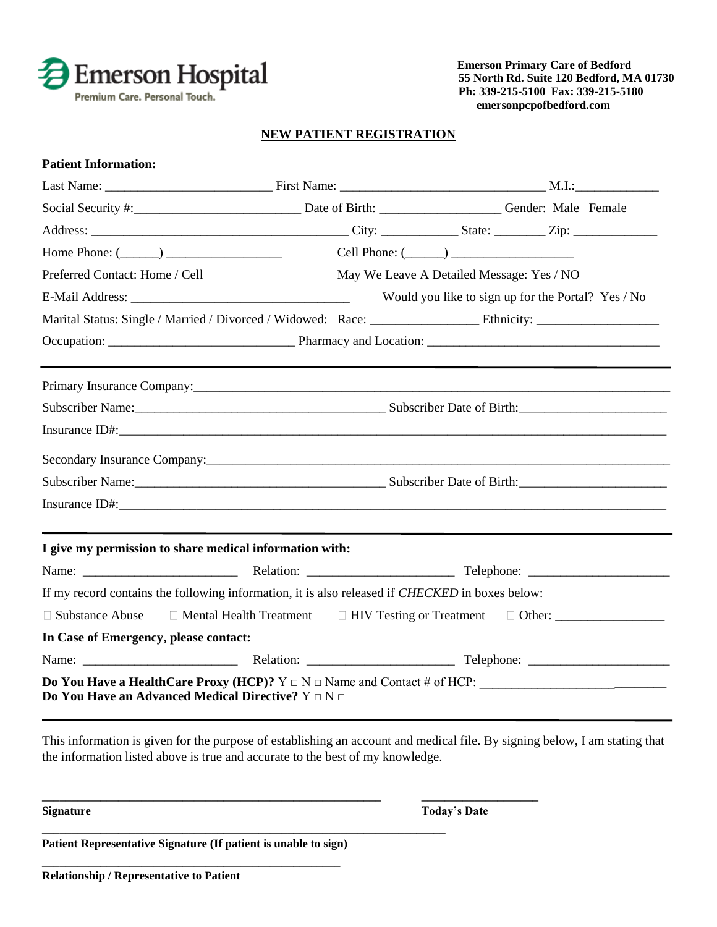

#### **NEW PATIENT REGISTRATION**

| <b>Patient Information:</b>           |                                                                                                                                                                   |                                           |                      |                                                    |  |  |
|---------------------------------------|-------------------------------------------------------------------------------------------------------------------------------------------------------------------|-------------------------------------------|----------------------|----------------------------------------------------|--|--|
|                                       |                                                                                                                                                                   |                                           |                      |                                                    |  |  |
|                                       |                                                                                                                                                                   |                                           |                      |                                                    |  |  |
|                                       |                                                                                                                                                                   |                                           |                      |                                                    |  |  |
|                                       | Home Phone: $(\_\_)$                                                                                                                                              |                                           | Cell Phone: $(\_\_)$ |                                                    |  |  |
| Preferred Contact: Home / Cell        |                                                                                                                                                                   | May We Leave A Detailed Message: Yes / NO |                      |                                                    |  |  |
|                                       |                                                                                                                                                                   |                                           |                      | Would you like to sign up for the Portal? Yes / No |  |  |
|                                       |                                                                                                                                                                   |                                           |                      |                                                    |  |  |
|                                       |                                                                                                                                                                   |                                           |                      |                                                    |  |  |
|                                       |                                                                                                                                                                   |                                           |                      |                                                    |  |  |
|                                       |                                                                                                                                                                   |                                           |                      |                                                    |  |  |
|                                       | Subscriber Name: Subscriber Date of Birth: Subscriber Date of Birth:                                                                                              |                                           |                      |                                                    |  |  |
|                                       |                                                                                                                                                                   |                                           |                      |                                                    |  |  |
|                                       |                                                                                                                                                                   |                                           |                      |                                                    |  |  |
|                                       |                                                                                                                                                                   |                                           |                      |                                                    |  |  |
|                                       |                                                                                                                                                                   |                                           |                      |                                                    |  |  |
|                                       |                                                                                                                                                                   |                                           |                      |                                                    |  |  |
|                                       | I give my permission to share medical information with:                                                                                                           |                                           |                      |                                                    |  |  |
|                                       |                                                                                                                                                                   |                                           |                      |                                                    |  |  |
|                                       | If my record contains the following information, it is also released if <i>CHECKED</i> in boxes below:                                                            |                                           |                      |                                                    |  |  |
|                                       | □ Substance Abuse □ Mental Health Treatment □ HIV Testing or Treatment □ Other: ___________________                                                               |                                           |                      |                                                    |  |  |
| In Case of Emergency, please contact: |                                                                                                                                                                   |                                           |                      |                                                    |  |  |
|                                       |                                                                                                                                                                   |                                           |                      |                                                    |  |  |
|                                       | <b>Do You Have a HealthCare Proxy (HCP)?</b> $Y \square N \square$ Name and Contact # of HCP:<br>Do You Have an Advanced Medical Directive? $Y \square N \square$ |                                           |                      |                                                    |  |  |

This information is given for the purpose of establishing an account and medical file. By signing below, I am stating that the information listed above is true and accurate to the best of my knowledge.

**\_\_\_\_\_\_\_\_\_\_\_\_\_\_\_\_\_\_\_\_\_\_\_\_\_\_\_\_\_\_\_\_\_\_\_\_\_\_\_\_\_\_\_\_\_\_\_\_\_\_\_\_\_\_\_\_\_\_ \_\_\_\_\_\_\_\_\_\_\_\_\_\_\_\_\_\_\_\_**

**Signature Today's Date**

**Patient Representative Signature (If patient is unable to sign) \_\_\_\_\_\_\_\_\_\_\_\_\_\_\_\_\_\_\_\_\_\_\_\_\_\_\_\_\_\_\_\_\_\_\_\_\_\_\_\_\_\_\_\_\_\_\_\_\_\_\_**

**\_\_\_\_\_\_\_\_\_\_\_\_\_\_\_\_\_\_\_\_\_\_\_\_\_\_\_\_\_\_\_\_\_\_\_\_\_\_\_\_\_\_\_\_\_\_\_\_\_\_\_\_\_\_\_\_\_\_\_\_\_\_\_\_\_\_\_\_\_**

**Relationship / Representative to Patient**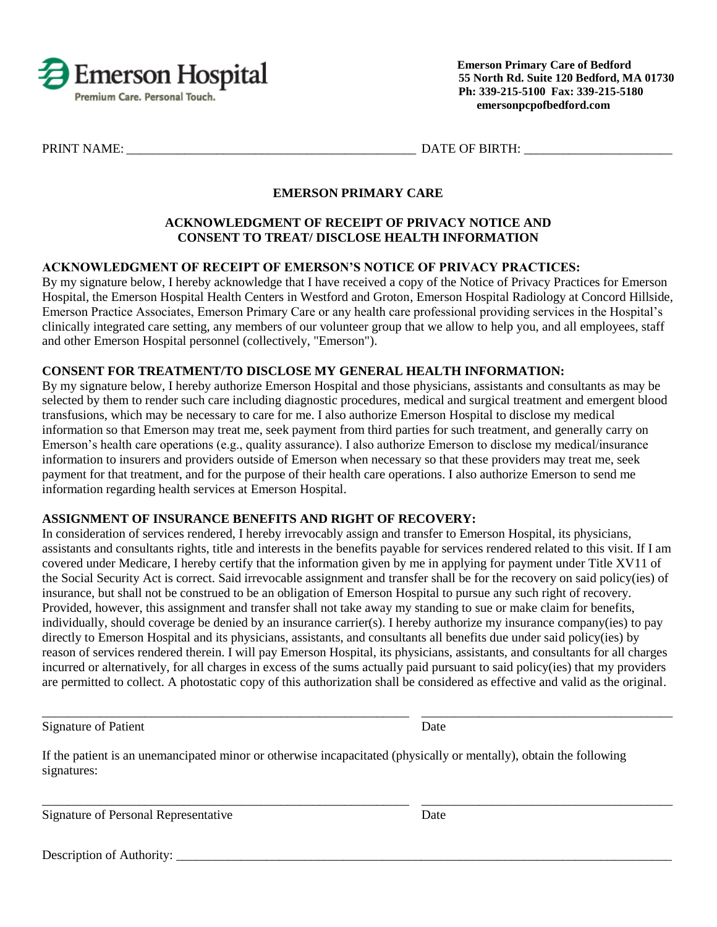

PRINT NAME: THE SET OF BIRTH:

## **EMERSON PRIMARY CARE**

#### **ACKNOWLEDGMENT OF RECEIPT OF PRIVACY NOTICE AND CONSENT TO TREAT/ DISCLOSE HEALTH INFORMATION**

### **ACKNOWLEDGMENT OF RECEIPT OF EMERSON'S NOTICE OF PRIVACY PRACTICES:**

By my signature below, I hereby acknowledge that I have received a copy of the Notice of Privacy Practices for Emerson Hospital, the Emerson Hospital Health Centers in Westford and Groton, Emerson Hospital Radiology at Concord Hillside, Emerson Practice Associates, Emerson Primary Care or any health care professional providing services in the Hospital's clinically integrated care setting, any members of our volunteer group that we allow to help you, and all employees, staff and other Emerson Hospital personnel (collectively, "Emerson").

#### **CONSENT FOR TREATMENT/TO DISCLOSE MY GENERAL HEALTH INFORMATION:**

By my signature below, I hereby authorize Emerson Hospital and those physicians, assistants and consultants as may be selected by them to render such care including diagnostic procedures, medical and surgical treatment and emergent blood transfusions, which may be necessary to care for me. I also authorize Emerson Hospital to disclose my medical information so that Emerson may treat me, seek payment from third parties for such treatment, and generally carry on Emerson's health care operations (e.g., quality assurance). I also authorize Emerson to disclose my medical/insurance information to insurers and providers outside of Emerson when necessary so that these providers may treat me, seek payment for that treatment, and for the purpose of their health care operations. I also authorize Emerson to send me information regarding health services at Emerson Hospital.

#### **ASSIGNMENT OF INSURANCE BENEFITS AND RIGHT OF RECOVERY:**

In consideration of services rendered, I hereby irrevocably assign and transfer to Emerson Hospital, its physicians, assistants and consultants rights, title and interests in the benefits payable for services rendered related to this visit. If I am covered under Medicare, I hereby certify that the information given by me in applying for payment under Title XV11 of the Social Security Act is correct. Said irrevocable assignment and transfer shall be for the recovery on said policy(ies) of insurance, but shall not be construed to be an obligation of Emerson Hospital to pursue any such right of recovery. Provided, however, this assignment and transfer shall not take away my standing to sue or make claim for benefits, individually, should coverage be denied by an insurance carrier(s). I hereby authorize my insurance company(ies) to pay directly to Emerson Hospital and its physicians, assistants, and consultants all benefits due under said policy(ies) by reason of services rendered therein. I will pay Emerson Hospital, its physicians, assistants, and consultants for all charges incurred or alternatively, for all charges in excess of the sums actually paid pursuant to said policy(ies) that my providers are permitted to collect. A photostatic copy of this authorization shall be considered as effective and valid as the original.

\_\_\_\_\_\_\_\_\_\_\_\_\_\_\_\_\_\_\_\_\_\_\_\_\_\_\_\_\_\_\_\_\_\_\_\_\_\_\_\_\_\_\_\_\_\_\_\_\_\_\_\_\_\_\_\_\_ \_\_\_\_\_\_\_\_\_\_\_\_\_\_\_\_\_\_\_\_\_\_\_\_\_\_\_\_\_\_\_\_\_\_\_\_\_\_\_

\_\_\_\_\_\_\_\_\_\_\_\_\_\_\_\_\_\_\_\_\_\_\_\_\_\_\_\_\_\_\_\_\_\_\_\_\_\_\_\_\_\_\_\_\_\_\_\_\_\_\_\_\_\_\_\_\_ \_\_\_\_\_\_\_\_\_\_\_\_\_\_\_\_\_\_\_\_\_\_\_\_\_\_\_\_\_\_\_\_\_\_\_\_\_\_\_

Signature of Patient Date

If the patient is an unemancipated minor or otherwise incapacitated (physically or mentally), obtain the following signatures:

Signature of Personal Representative Date

Description of Authority: \_\_\_\_\_\_\_\_\_\_\_\_\_\_\_\_\_\_\_\_\_\_\_\_\_\_\_\_\_\_\_\_\_\_\_\_\_\_\_\_\_\_\_\_\_\_\_\_\_\_\_\_\_\_\_\_\_\_\_\_\_\_\_\_\_\_\_\_\_\_\_\_\_\_\_\_\_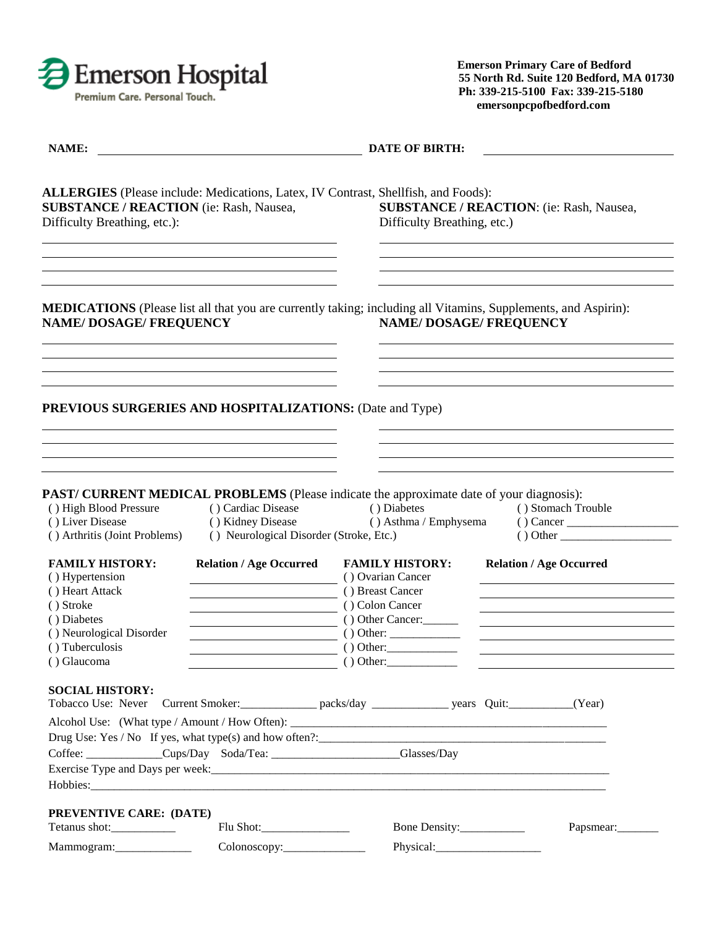

| NAME:                                                                                                                                                                       |                                                                                    | <b>DATE OF BIRTH:</b>                                                                                                            |                                                                                                                                                        |
|-----------------------------------------------------------------------------------------------------------------------------------------------------------------------------|------------------------------------------------------------------------------------|----------------------------------------------------------------------------------------------------------------------------------|--------------------------------------------------------------------------------------------------------------------------------------------------------|
| <b>ALLERGIES</b> (Please include: Medications, Latex, IV Contrast, Shellfish, and Foods):<br><b>SUBSTANCE / REACTION</b> (ie: Rash, Nausea,<br>Difficulty Breathing, etc.): |                                                                                    | Difficulty Breathing, etc.)                                                                                                      | SUBSTANCE / REACTION: (ie: Rash, Nausea,                                                                                                               |
| <b>NAME/DOSAGE/FREQUENCY</b>                                                                                                                                                |                                                                                    | <b>NAME/DOSAGE/FREQUENCY</b>                                                                                                     | <b>MEDICATIONS</b> (Please list all that you are currently taking; including all Vitamins, Supplements, and Aspirin):                                  |
| <b>PREVIOUS SURGERIES AND HOSPITALIZATIONS: (Date and Type)</b>                                                                                                             |                                                                                    |                                                                                                                                  |                                                                                                                                                        |
| () High Blood Pressure<br>() Liver Disease<br>() Arthritis (Joint Problems)                                                                                                 | () Cardiac Disease<br>() Kidney Disease<br>() Neurological Disorder (Stroke, Etc.) | PAST/ CURRENT MEDICAL PROBLEMS (Please indicate the approximate date of your diagnosis):<br>() Diabetes<br>() Asthma / Emphysema | () Stomach Trouble<br>$()$ Cancer<br>() Other                                                                                                          |
| <b>FAMILY HISTORY:</b><br>() Hypertension<br>() Heart Attack<br>() Stroke<br>() Diabetes<br>() Neurological Disorder<br>() Tuberculosis<br>() Glaucoma                      | <b>Relation / Age Occurred</b>                                                     | <b>FAMILY HISTORY:</b><br>() Ovarian Cancer<br>() Breast Cancer<br>() Colon Cancer<br>() Other Cancer:<br>() Other:<br>() Other: | <b>Relation / Age Occurred</b><br><u> 1989 - Johann John Stein, markin fan it fjort fan de ferstjer fan it fjort fan de ferstjer fan de ferstjer f</u> |
| <b>SOCIAL HISTORY:</b>                                                                                                                                                      |                                                                                    |                                                                                                                                  |                                                                                                                                                        |
|                                                                                                                                                                             | Coffee: _____________Cups/Day Soda/Tea: ____________________Glasses/Day            |                                                                                                                                  |                                                                                                                                                        |
| PREVENTIVE CARE: (DATE)                                                                                                                                                     |                                                                                    | Bone Density:___________                                                                                                         | Papsmear:                                                                                                                                              |
|                                                                                                                                                                             | Colonoscopy:_______________                                                        |                                                                                                                                  |                                                                                                                                                        |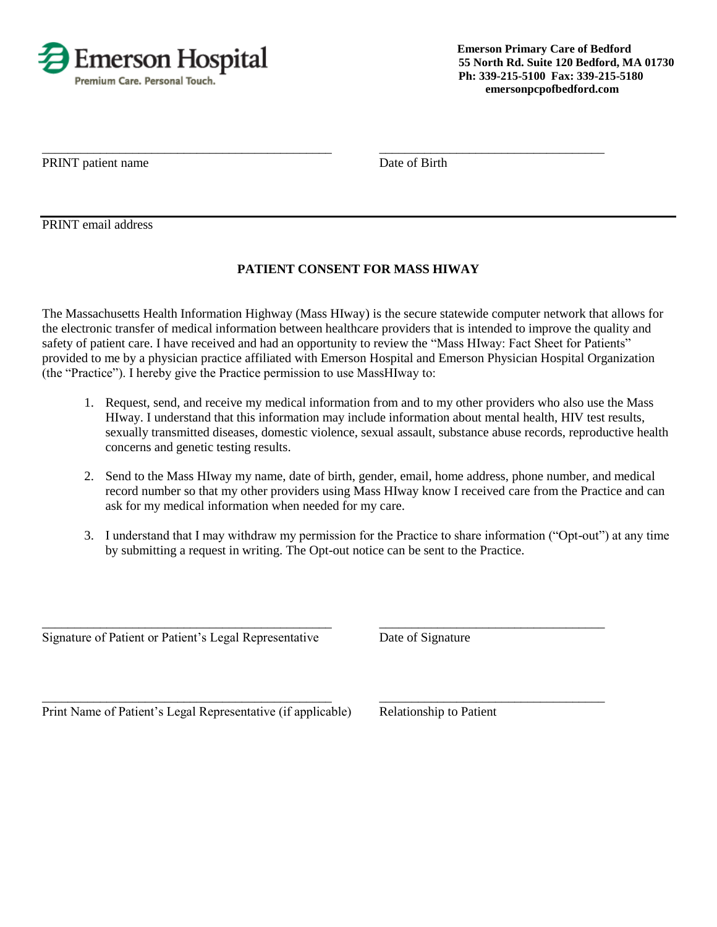

PRINT patient name Date of Birth

PRINT email address

# **PATIENT CONSENT FOR MASS HIWAY**

\_\_\_\_\_\_\_\_\_\_\_\_\_\_\_\_\_\_\_\_\_\_\_\_\_\_\_\_\_\_\_\_\_\_\_\_\_\_\_\_\_\_\_\_\_ \_\_\_\_\_\_\_\_\_\_\_\_\_\_\_\_\_\_\_\_\_\_\_\_\_\_\_\_\_\_\_\_\_\_\_

The Massachusetts Health Information Highway (Mass HIway) is the secure statewide computer network that allows for the electronic transfer of medical information between healthcare providers that is intended to improve the quality and safety of patient care. I have received and had an opportunity to review the "Mass HIway: Fact Sheet for Patients" provided to me by a physician practice affiliated with Emerson Hospital and Emerson Physician Hospital Organization (the "Practice"). I hereby give the Practice permission to use MassHIway to:

- 1. Request, send, and receive my medical information from and to my other providers who also use the Mass HIway. I understand that this information may include information about mental health, HIV test results, sexually transmitted diseases, domestic violence, sexual assault, substance abuse records, reproductive health concerns and genetic testing results.
- 2. Send to the Mass HIway my name, date of birth, gender, email, home address, phone number, and medical record number so that my other providers using Mass HIway know I received care from the Practice and can ask for my medical information when needed for my care.
- 3. I understand that I may withdraw my permission for the Practice to share information ("Opt-out") at any time by submitting a request in writing. The Opt-out notice can be sent to the Practice.

\_\_\_\_\_\_\_\_\_\_\_\_\_\_\_\_\_\_\_\_\_\_\_\_\_\_\_\_\_\_\_\_\_\_\_\_\_\_\_\_\_\_\_\_\_ \_\_\_\_\_\_\_\_\_\_\_\_\_\_\_\_\_\_\_\_\_\_\_\_\_\_\_\_\_\_\_\_\_\_\_

Signature of Patient or Patient's Legal Representative Date of Signature

\_\_\_\_\_\_\_\_\_\_\_\_\_\_\_\_\_\_\_\_\_\_\_\_\_\_\_\_\_\_\_\_\_\_\_\_\_\_\_\_\_\_\_\_\_ \_\_\_\_\_\_\_\_\_\_\_\_\_\_\_\_\_\_\_\_\_\_\_\_\_\_\_\_\_\_\_\_\_\_\_ Print Name of Patient's Legal Representative (if applicable) Relationship to Patient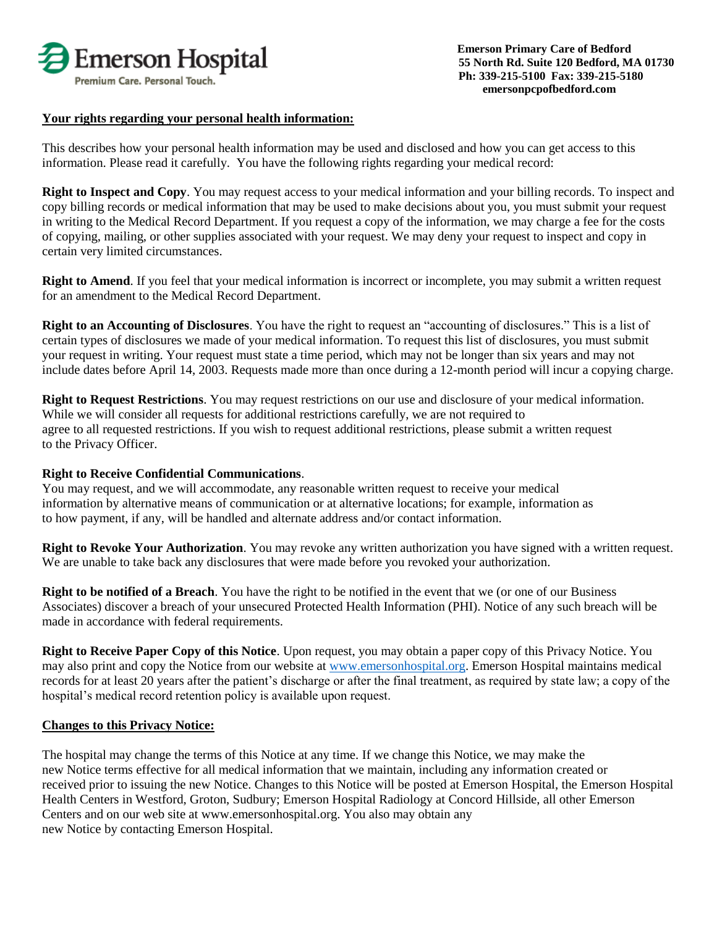

#### **Your rights regarding your personal health information:**

This describes how your personal health information may be used and disclosed and how you can get access to this information. Please read it carefully. You have the following rights regarding your medical record:

**Right to Inspect and Copy**. You may request access to your medical information and your billing records. To inspect and copy billing records or medical information that may be used to make decisions about you, you must submit your request in writing to the Medical Record Department. If you request a copy of the information, we may charge a fee for the costs of copying, mailing, or other supplies associated with your request. We may deny your request to inspect and copy in certain very limited circumstances.

**Right to Amend**. If you feel that your medical information is incorrect or incomplete, you may submit a written request for an amendment to the Medical Record Department.

**Right to an Accounting of Disclosures**. You have the right to request an "accounting of disclosures." This is a list of certain types of disclosures we made of your medical information. To request this list of disclosures, you must submit your request in writing. Your request must state a time period, which may not be longer than six years and may not include dates before April 14, 2003. Requests made more than once during a 12-month period will incur a copying charge.

**Right to Request Restrictions**. You may request restrictions on our use and disclosure of your medical information. While we will consider all requests for additional restrictions carefully, we are not required to agree to all requested restrictions. If you wish to request additional restrictions, please submit a written request to the Privacy Officer.

#### **Right to Receive Confidential Communications**.

You may request, and we will accommodate, any reasonable written request to receive your medical information by alternative means of communication or at alternative locations; for example, information as to how payment, if any, will be handled and alternate address and/or contact information.

**Right to Revoke Your Authorization**. You may revoke any written authorization you have signed with a written request. We are unable to take back any disclosures that were made before you revoked your authorization.

**Right to be notified of a Breach**. You have the right to be notified in the event that we (or one of our Business Associates) discover a breach of your unsecured Protected Health Information (PHI). Notice of any such breach will be made in accordance with federal requirements.

**Right to Receive Paper Copy of this Notice**. Upon request, you may obtain a paper copy of this Privacy Notice. You may also print and copy the Notice from our website at [www.emersonhospital.org.](http://www.emersonhospital.org/) Emerson Hospital maintains medical records for at least 20 years after the patient's discharge or after the final treatment, as required by state law; a copy of the hospital's medical record retention policy is available upon request.

#### **Changes to this Privacy Notice:**

The hospital may change the terms of this Notice at any time. If we change this Notice, we may make the new Notice terms effective for all medical information that we maintain, including any information created or received prior to issuing the new Notice. Changes to this Notice will be posted at Emerson Hospital, the Emerson Hospital Health Centers in Westford, Groton, Sudbury; Emerson Hospital Radiology at Concord Hillside, all other Emerson Centers and on our web site at www.emersonhospital.org. You also may obtain any new Notice by contacting Emerson Hospital.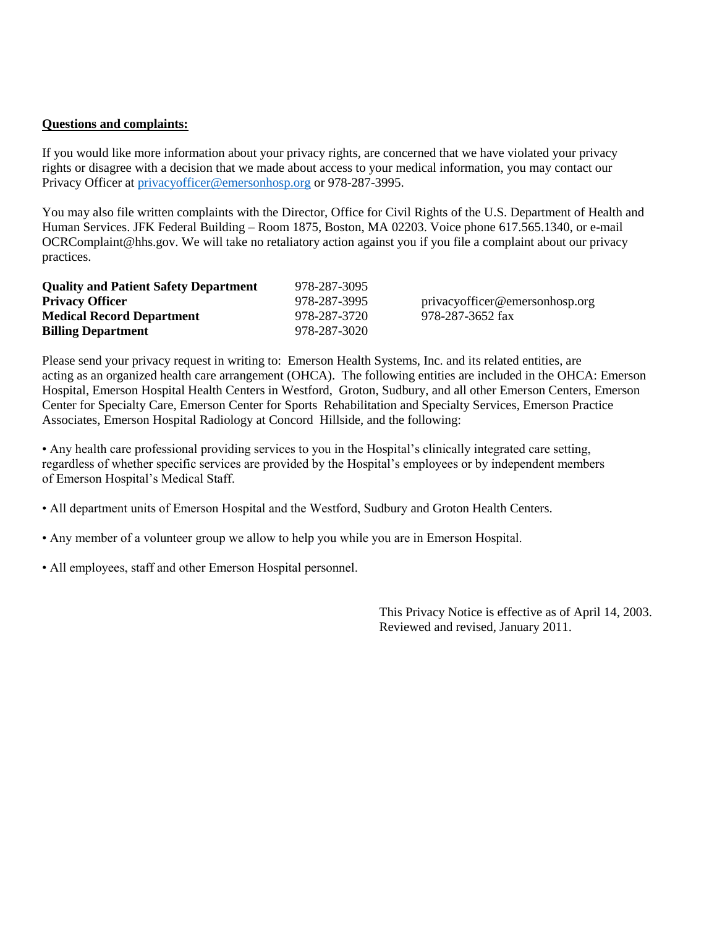#### **Questions and complaints:**

If you would like more information about your privacy rights, are concerned that we have violated your privacy rights or disagree with a decision that we made about access to your medical information, you may contact our Privacy Officer at [privacyofficer@emersonhosp.org](mailto:privacyofficer@emersonhosp.org) or 978-287-3995.

You may also file written complaints with the Director, Office for Civil Rights of the U.S. Department of Health and Human Services. JFK Federal Building – Room 1875, Boston, MA 02203. Voice phone 617.565.1340, or e-mail OCRComplaint@hhs.gov. We will take no retaliatory action against you if you file a complaint about our privacy practices.

| <b>Quality and Patient Safety Department</b> | 978-287-3095 |                                |
|----------------------------------------------|--------------|--------------------------------|
| <b>Privacy Officer</b>                       | 978-287-3995 | privacyofficer@emersonhosp.org |
| <b>Medical Record Department</b>             | 978-287-3720 | 978-287-3652 fax               |
| <b>Billing Department</b>                    | 978-287-3020 |                                |

Please send your privacy request in writing to: Emerson Health Systems, Inc. and its related entities, are acting as an organized health care arrangement (OHCA). The following entities are included in the OHCA: Emerson Hospital, Emerson Hospital Health Centers in Westford, Groton, Sudbury, and all other Emerson Centers, Emerson Center for Specialty Care, Emerson Center for Sports Rehabilitation and Specialty Services, Emerson Practice Associates, Emerson Hospital Radiology at Concord Hillside, and the following:

• Any health care professional providing services to you in the Hospital's clinically integrated care setting, regardless of whether specific services are provided by the Hospital's employees or by independent members of Emerson Hospital's Medical Staff.

• All department units of Emerson Hospital and the Westford, Sudbury and Groton Health Centers.

• Any member of a volunteer group we allow to help you while you are in Emerson Hospital.

• All employees, staff and other Emerson Hospital personnel.

This Privacy Notice is effective as of April 14, 2003. Reviewed and revised, January 2011.